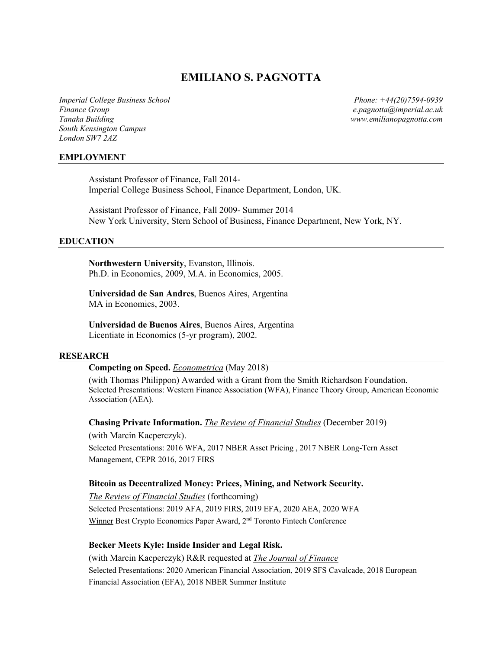# **EMILIANO S. PAGNOTTA**

*Finance Group e.pagnotta@imperial.ac.uk Tanaka Building www.emilianopagnotta.com South Kensington Campus London SW7 2AZ*

*Imperial College Business School Phone: +44(20)7594-0939*

#### **EMPLOYMENT**

Assistant Professor of Finance, Fall 2014- Imperial College Business School, Finance Department, London, UK.

Assistant Professor of Finance, Fall 2009- Summer 2014 New York University, Stern School of Business, Finance Department, New York, NY.

#### **EDUCATION**

**Northwestern University**, Evanston, Illinois. Ph.D. in Economics, 2009, M.A. in Economics, 2005.

**Universidad de San Andres**, Buenos Aires, Argentina MA in Economics, 2003.

**Universidad de Buenos Aires**, Buenos Aires, Argentina Licentiate in Economics (5-yr program), 2002.

#### **RESEARCH**

#### **Competing on Speed.** *Econometrica* (May 2018)

(with Thomas Philippon) Awarded with a Grant from the Smith Richardson Foundation. Selected Presentations: Western Finance Association (WFA), Finance Theory Group, American Economic Association (AEA).

**Chasing Private Information.** *The Review of Financial Studies* (December 2019) (with Marcin Kacperczyk). Selected Presentations: 2016 WFA, 2017 NBER Asset Pricing , 2017 NBER Long-Tern Asset

Management, CEPR 2016, 2017 FIRS

#### **Bitcoin as Decentralized Money: Prices, Mining, and Network Security.**

*The Review of Financial Studies* (forthcoming) Selected Presentations: 2019 AFA, 2019 FIRS, 2019 EFA, 2020 AEA, 2020 WFA Winner Best Crypto Economics Paper Award, 2<sup>nd</sup> Toronto Fintech Conference

#### **Becker Meets Kyle: Inside Insider and Legal Risk.**

(with Marcin Kacperczyk) R&R requested at *The Journal of Finance* Selected Presentations: 2020 American Financial Association, 2019 SFS Cavalcade, 2018 European Financial Association (EFA), 2018 NBER Summer Institute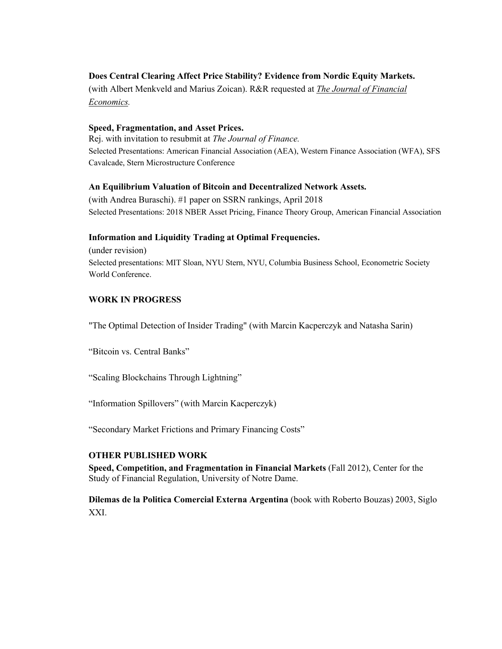# **Does Central Clearing Affect Price Stability? Evidence from Nordic Equity Markets.**

(with Albert Menkveld and Marius Zoican). R&R requested at *The Journal of Financial Economics.*

### **Speed, Fragmentation, and Asset Prices.**

Rej. with invitation to resubmit at *The Journal of Finance.* Selected Presentations: American Financial Association (AEA), Western Finance Association (WFA), SFS Cavalcade, Stern Microstructure Conference

## **An Equilibrium Valuation of Bitcoin and Decentralized Network Assets.**

(with Andrea Buraschi). #1 paper on SSRN rankings, April 2018 Selected Presentations: 2018 NBER Asset Pricing, Finance Theory Group, American Financial Association

## **Information and Liquidity Trading at Optimal Frequencies.**

(under revision) Selected presentations: MIT Sloan, NYU Stern, NYU, Columbia Business School, Econometric Society World Conference.

# **WORK IN PROGRESS**

"The Optimal Detection of Insider Trading" (with Marcin Kacperczyk and Natasha Sarin)

"Bitcoin vs. Central Banks"

"Scaling Blockchains Through Lightning"

"Information Spillovers" (with Marcin Kacperczyk)

"Secondary Market Frictions and Primary Financing Costs"

### **OTHER PUBLISHED WORK**

**Speed, Competition, and Fragmentation in Financial Markets** (Fall 2012), Center for the Study of Financial Regulation, University of Notre Dame.

**Dilemas de la Politica Comercial Externa Argentina** (book with Roberto Bouzas) 2003, Siglo XXI.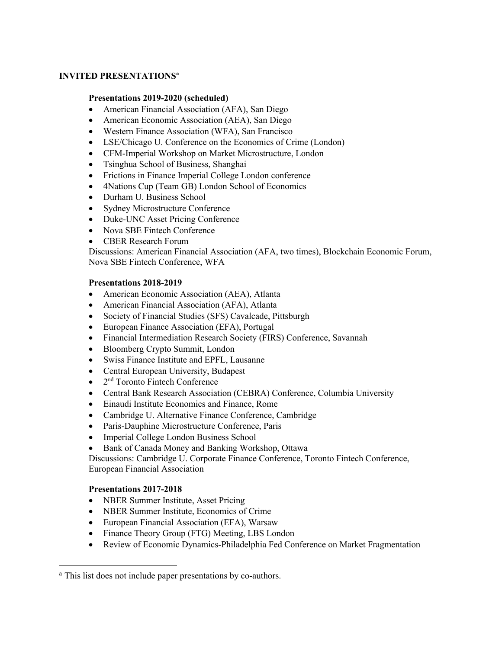## **INVITED PRESENTATIONS<sup>a</sup>**

#### **Presentations 2019-2020 (scheduled)**

- American Financial Association (AFA), San Diego
- American Economic Association (AEA), San Diego
- Western Finance Association (WFA), San Francisco
- LSE/Chicago U. Conference on the Economics of Crime (London)
- CFM-Imperial Workshop on Market Microstructure, London
- Tsinghua School of Business, Shanghai
- Frictions in Finance Imperial College London conference
- 4Nations Cup (Team GB) London School of Economics
- Durham U. Business School
- Sydney Microstructure Conference
- Duke-UNC Asset Pricing Conference
- Nova SBE Fintech Conference
- CBER Research Forum

Discussions: American Financial Association (AFA, two times), Blockchain Economic Forum, Nova SBE Fintech Conference, WFA

#### **Presentations 2018-2019**

- American Economic Association (AEA), Atlanta
- American Financial Association (AFA), Atlanta
- Society of Financial Studies (SFS) Cavalcade, Pittsburgh
- European Finance Association (EFA), Portugal
- Financial Intermediation Research Society (FIRS) Conference, Savannah
- Bloomberg Crypto Summit, London
- Swiss Finance Institute and EPFL, Lausanne
- Central European University, Budapest
- $\bullet$  2<sup>nd</sup> Toronto Fintech Conference
- Central Bank Research Association (CEBRA) Conference, Columbia University
- Einaudi Institute Economics and Finance, Rome
- Cambridge U. Alternative Finance Conference, Cambridge
- Paris-Dauphine Microstructure Conference, Paris
- Imperial College London Business School
- Bank of Canada Money and Banking Workshop, Ottawa

Discussions: Cambridge U. Corporate Finance Conference, Toronto Fintech Conference, European Financial Association

### **Presentations 2017-2018**

- NBER Summer Institute, Asset Pricing
- NBER Summer Institute, Economics of Crime
- European Financial Association (EFA), Warsaw
- Finance Theory Group (FTG) Meeting, LBS London
- Review of Economic Dynamics-Philadelphia Fed Conference on Market Fragmentation

<sup>&</sup>lt;sup>a</sup> This list does not include paper presentations by co-authors.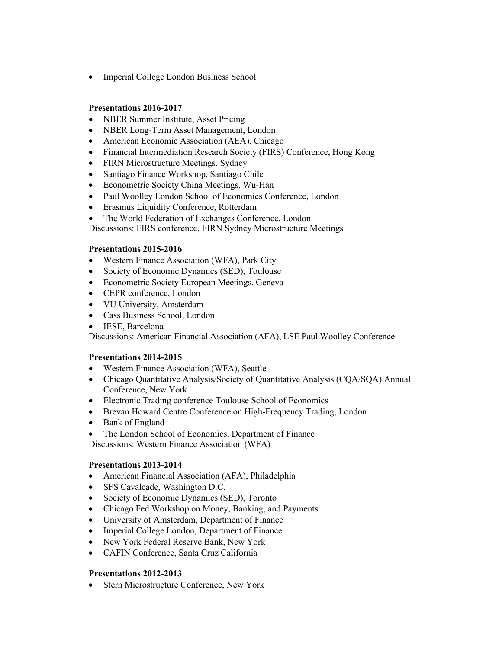• Imperial College London Business School

### **Presentations 2016-2017**

- NBER Summer Institute, Asset Pricing
- NBER Long-Term Asset Management, London
- American Economic Association (AEA), Chicago
- Financial Intermediation Research Society (FIRS) Conference, Hong Kong
- FIRN Microstructure Meetings, Sydney
- Santiago Finance Workshop, Santiago Chile
- Econometric Society China Meetings, Wu-Han
- Paul Woolley London School of Economics Conference, London
- Erasmus Liquidity Conference, Rotterdam
- The World Federation of Exchanges Conference, London

Discussions: FIRS conference, FIRN Sydney Microstructure Meetings

### **Presentations 2015-2016**

- Western Finance Association (WFA), Park City
- Society of Economic Dynamics (SED), Toulouse
- Econometric Society European Meetings, Geneva
- CEPR conference, London
- VU University, Amsterdam
- Cass Business School, London
- IESE, Barcelona

Discussions: American Financial Association (AFA), LSE Paul Woolley Conference

### **Presentations 2014-2015**

- Western Finance Association (WFA), Seattle
- Chicago Quantitative Analysis/Society of Quantitative Analysis (CQA/SQA) Annual Conference, New York
- Electronic Trading conference Toulouse School of Economics
- Brevan Howard Centre Conference on High-Frequency Trading, London
- Bank of England
- The London School of Economics, Department of Finance

Discussions: Western Finance Association (WFA)

### **Presentations 2013-2014**

- American Financial Association (AFA), Philadelphia
- SFS Cavalcade, Washington D.C.
- Society of Economic Dynamics (SED), Toronto
- Chicago Fed Workshop on Money, Banking, and Payments
- University of Amsterdam, Department of Finance
- Imperial College London, Department of Finance
- New York Federal Reserve Bank, New York
- CAFIN Conference, Santa Cruz California

### **Presentations 2012-2013**

• Stern Microstructure Conference, New York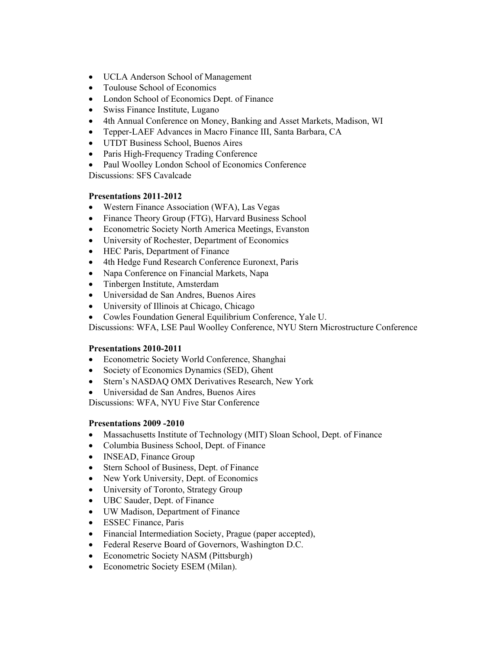- UCLA Anderson School of Management
- Toulouse School of Economics
- London School of Economics Dept. of Finance
- Swiss Finance Institute, Lugano
- 4th Annual Conference on Money, Banking and Asset Markets, Madison, WI
- Tepper-LAEF Advances in Macro Finance III, Santa Barbara, CA
- UTDT Business School, Buenos Aires
- Paris High-Frequency Trading Conference
- Paul Woolley London School of Economics Conference

Discussions: SFS Cavalcade

### **Presentations 2011-2012**

- Western Finance Association (WFA), Las Vegas
- Finance Theory Group (FTG), Harvard Business School
- Econometric Society North America Meetings, Evanston
- University of Rochester, Department of Economics
- HEC Paris, Department of Finance
- 4th Hedge Fund Research Conference Euronext, Paris
- Napa Conference on Financial Markets, Napa
- Tinbergen Institute, Amsterdam
- Universidad de San Andres, Buenos Aires
- University of Illinois at Chicago, Chicago
- Cowles Foundation General Equilibrium Conference, Yale U.

Discussions: WFA, LSE Paul Woolley Conference, NYU Stern Microstructure Conference

### **Presentations 2010-2011**

- Econometric Society World Conference, Shanghai
- Society of Economics Dynamics (SED), Ghent
- Stern's NASDAQ OMX Derivatives Research, New York
- Universidad de San Andres, Buenos Aires

Discussions: WFA, NYU Five Star Conference

### **Presentations 2009 -2010**

- Massachusetts Institute of Technology (MIT) Sloan School, Dept. of Finance
- Columbia Business School, Dept. of Finance
- INSEAD, Finance Group
- Stern School of Business, Dept. of Finance
- New York University, Dept. of Economics
- University of Toronto, Strategy Group
- UBC Sauder, Dept. of Finance
- UW Madison, Department of Finance
- ESSEC Finance, Paris
- Financial Intermediation Society, Prague (paper accepted),
- Federal Reserve Board of Governors, Washington D.C.
- Econometric Society NASM (Pittsburgh)
- Econometric Society ESEM (Milan).